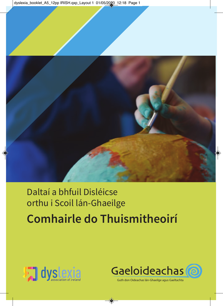

# Daltaí a bhfuil Disléicse orthu i Scoil lán-Ghaeilge **Comhairle do Thuismitheoirí**





Guth don Oideachas lán-Ghaeilge agus Gaeltachta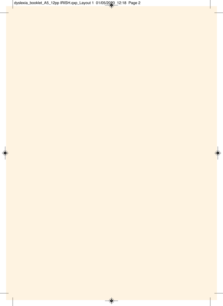dyslexia\_booklet\_A5\_12pp IRISH.qxp\_Layout 1 01/05/2020 12:18 Page 2

 $\bigcirc$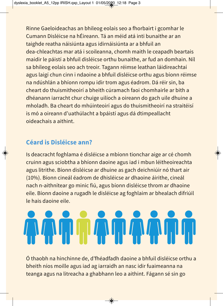Rinne Gaeloideachas an bhileog eolais seo a fhorbairt i gcomhar le Cumann Disléicse na hÉireann. Tá an méid atá inti bunaithe ar an taighde reatha náisiúnta agus idirnáisiúnta ar a bhfuil an dea-chleachtas mar atá i scoileanna, chomh maith le ceapadh beartais maidir le páistí a bhfuil disléicse orthu bunaithe, ar fud an domhain. Níl sa bhileog eolais seo ach treoir. Tagann réimse leathan láidireachtaí agus laigí chun cinn i ndaoine a bhfuil disléicse orthu agus bíonn réimse na ndúshlán a bhíonn rompu idir trom agus éadrom. Dá réir sin, ba cheart do thuismitheoirí a bheith cúramach faoi chomhairle ar bith a dhéanann iarracht chur chuige uilíoch a oireann do gach uile dhuine a mholadh. Ba cheart do mhúinteoirí agus do thuismitheoirí na straitéisí is mó a oireann d'uathúlacht a bpáistí agus dá dtimpeallacht oideachais a aithint.

#### **Céard is Disléicse ann?**

Is deacracht foghlama é disléicse a mbíonn tionchar aige ar cé chomh cruinn agus sciobtha a bhíonn daoine agus iad i mbun léitheoireachta agus litrithe. Bíonn disléicse ar dhuine as gach deichniúir nó thart air (10%). Bíonn cineál éadrom de dhisléicse ar dhaoine áirithe, cineál nach n-aithnítear go minic fiú, agus bíonn disléicse throm ar dhaoine eile. Bíonn daoine a rugadh le disléicse ag foghlaim ar bhealach difriúil le hais daoine eile.

# U VUTU

Ó thaobh na hinchinne de, d'fhéadfadh daoine a bhfuil disléicse orthu a bheith níos moille agus iad ag iarraidh an nasc idir fuaimeanna na teanga agus na litreacha a ghabhann leo a aithint. Fágann sé sin go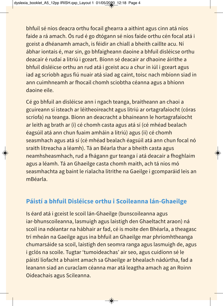bhfuil sé níos deacra orthu focail ghearra a aithint agus cinn atá níos faide a rá amach. Ós rud é go dtógann sé níos faide orthu cén focal atá i gceist a dhéanamh amach, is féidir an chiall a bheith caillte acu. Ní ábhar iontais é, mar sin, go bhfaigheann daoine a bhfuil disléicse orthu deacair é rudaí a litriú i gceart. Bíonn sé deacair ar dhaoine áirithe a bhfuil disléicse orthu an rud atá i gceist acu a chur in iúl i gceart agus iad ag scríobh agus fiú nuair atá siad ag caint, toisc nach mbíonn siad in ann cuimhneamh ar fhocail chomh sciobtha céanna agus a bhíonn daoine eile.

Cé go bhfuil an disléicse ann i ngach teanga, braitheann an chaoi a gcuireann sí isteach ar léitheoireacht agus litriú ar ortagrafaíocht (córas scríofa) na teanga. Bíonn an deacracht a bhaineann le hortagrafaíocht ar leith ag brath ar (i) cé chomh casta agus atá sí (cé mhéad bealach éagsúil atá ann chun fuaim amháin a litriú) agus (ii) cé chomh seasmhach agus atá sí (cé mhéad bealach éagsúil atá ann chun focal nó sraith litreacha a léamh). Tá an Béarla thar a bheith casta agus neamhsheasmhach, rud a fhágann gur teanga í atá deacair a fhoghlaim agus a léamh. Tá an Ghaeilge casta chomh maith, ach tá níos mó seasmhachta ag baint le rialacha litrithe na Gaeilge i gcomparáid leis an mBéarla.

#### **Páistí a bhfuil Disléicse orthu i Scoileanna lán-Ghaeilge**

Is éard atá i gceist le scoil lán-Ghaeilge (bunscoileanna agus iar-bhunscoileanna, lasmuigh agus laistigh den Ghaeltacht araon) ná scoil ina ndéantar na hábhair ar fad, cé is moite den Bhéarla, a theagasc trí mheán na Gaeilge agus ina bhfuil an Ghaeilge mar phríomhtheanga chumarsáide sa scoil, laistigh den seomra ranga agus lasmuigh de, agus i gclós na scoile. Tugtar 'tumoideachas' air seo, agus cuidíonn sé le páistí líofacht a bhaint amach sa Ghaeilge ar bhealach nádúrtha, fad a leanann siad an curaclam céanna mar atá leagtha amach ag an Roinn Oideachais agus Scileanna.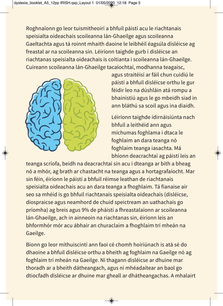Roghnaíonn go leor tuismitheoirí a bhfuil páistí acu le riachtanais speisialta oideachais scoileanna lán-Ghaeilge agus scoileanna Gaeltachta agus tá roinnt mhaith daoine le leibhéil éagsúla disléicse ag freastal ar na scoileanna sin. Léiríonn taighde gurb í disléicse an riachtanas speisialta oideachais is coitianta i scoileanna lán-Ghaeilge. Cuireann scoileanna lán-Ghaeilge tacaíochtaí, modhanna teagaisc,



agus straitéisí ar fáil chun cuidiú le páistí a bhfuil disléicse orthu le gur féidir leo na dúshláin atá rompu a bhainistiú agus le go mbeidh siad in ann bláthú sa scoil agus ina diaidh.

Léiríonn taighde idirnáisiúnta nach bhfuil a leithéid ann agus míchumas foghlama i dtaca le foghlaim an dara teanga nó foghlaim teanga iasachta. Má bhíonn deacrachtaí ag páistí leis an

teanga scríofa, beidh na deacrachtaí sin acu i dteanga ar bith a bheag nó a mhór, ag brath ar chastacht na teanga agus a hortagrafaíocht. Mar sin féin, éiríonn le páistí a bhfuil réimse leathan de riachtanais speisialta oideachais acu an dara teanga a fhoghlaim. Tá fianaise air seo sa mhéid is go bhfuil riachtanais speisialta oideachais (disléicse, diospraicse agus neamhord de chuid speictream an uathachais go príomha) ag breis agus 9% de pháistí a fhreastalaíonn ar scoileanna lán-Ghaeilge, ach in ainneoin na riachtanas sin, éiríonn leis an bhformhór mór acu ábhair an churaclaim a fhoghlaim trí mheán na Gaeilge.

Bíonn go leor míthuiscintí ann faoi cé chomh hoiriúnach is atá sé do dhaoine a bhfuil disléicse orthu a bheith ag foghlaim na Gaeilge nó ag foghlaim trí mheán na Gaeilge. Ní thagann disléicse ar dhuine mar thoradh ar a bheith dátheangach, agus ní mhéadaítear an baol go dtiocfadh disléicse ar dhuine mar gheall ar dhátheangachas. A mhalairt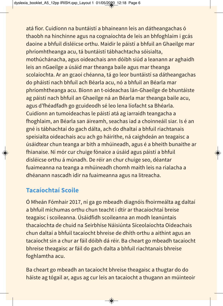atá fíor. Cuidíonn na buntáistí a bhaineann leis an dátheangachas ó thaobh na hinchinne agus na cognaíochta de leis an bhfoghlaim i gcás daoine a bhfuil disléicse orthu. Maidir le páistí a bhfuil an Ghaeilge mar phríomhtheanga acu, tá buntáistí tábhachtacha sóisialta, mothúchánacha, agus oideachais ann dóibh siúd a leanann ar aghaidh leis an nGaeilge a úsáid mar theanga baile agus mar theanga scolaíochta. Ar an gcaoi chéanna, tá go leor buntáistí sa dátheangachas do pháistí nach bhfuil ach Béarla acu, nó a bhfuil an Béarla mar phríomhtheanga acu. Bíonn an t-oideachas lán-Ghaeilge de bhuntáiste ag páistí nach bhfuil an Ghaeilge ná an Béarla mar theanga baile acu, agus d'fhéadfadh go gcuideodh sé leo lena líofacht sa Bhéarla. Cuidíonn an tumoideachas le páistí atá ag iarraidh teangacha a fhoghlaim, an Béarla san áireamh, seachas iad a choinneáil siar. Is é an gné is tábhachtaí do gach dálta, ach do dhaltaí a bhfuil riachtanais speisialta oideachais acu ach go háirithe, ná caighdeán an teagaisc a úsáidtear chun teanga ar bith a mhúineadh, agus é a bheith bunaithe ar fhianaise. Ní mór cur chuige fónaice a úsáid agus páistí a bhfuil disléicse orthu á múnadh. De réir an chur chuige seo, déantar fuaimeanna na teanga a mhúineadh chomh maith leis na rialacha a dhéanann nascadh idir na fuaimeanna agus na litreacha.

### **Tacaíochtaí Scoile**

Ó Mheán Fómhair 2017, ní ga go mbeadh diagnóis fhoirmeálta ag daltaí a bhfuil míchumas orthu chun teacht i dtír ar thacaíochtaí breise teagaisc i scoileanna. Úsáidfidh scoileanna an modh leanúntais thacaíochta de chuid na Seirbhíse Náisiúnta Síceolaíochta Oideachais chun daltaí a bhfuil tacaíocht bhreise de dhíth orthu a aithint agus an tacaíocht sin a chur ar fáil dóibh dá réir. Ba cheart go mbeadh tacaíocht bhreise theagaisc ar fáil do gach dalta a bhfuil riachtanais bhreise foghlamtha acu.

Ba cheart go mbeadh an tacaíocht bhreise theagaisc a thugtar do do háiste ag tógail ar, agus ag cur leis an tacaíocht a thugann an múinteoir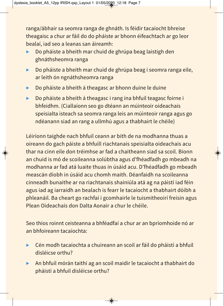ranga/ábhair sa seomra ranga de ghnáth. Is féidir tacaíocht bhreise theagaisc a chur ar fáil do do pháiste ar bhonn éifeachtach ar go leor bealaí, iad seo a leanas san áireamh:

- Do pháiste a bheith mar chuid de ghrúpa beag laistigh den ghnáthsheomra ranga
- ▶ Do pháiste a bheith mar chuid de ghrúpa beag i seomra ranga eile, ar leith ón ngnáthsheomra ranga
- Do pháiste a bheith á theagasc ar bhonn duine le duine
- ▶ Do pháiste a bheith á theagasc i rang ina bhfuil teagasc foirne i bhfeidhm. (Ciallaíonn seo go dtéann an múinteoir oideachais speisialta isteach sa seomra ranga leis an múinteoir ranga agus go ndéanann siad an rang a ullmhú agus a thabhairt le chéile)

Léiríonn taighde nach bhfuil ceann ar bith de na modhanna thuas a oireann do gach páiste a bhfuill riachtanais speisialta oideachais acu thar na cinn eile don tréimhse ar fad a chaitheann siad sa scoil. Bíonn an chuid is mó de scoileanna solúbtha agus d'fhéadfadh go mbeadh na modhanna ar fad atá luaite thuas in úsáid acu. D'fhéadfadh go mbeadh meascán díobh in úsáid acu chomh maith. Déanfaidh na scoileanna cinneadh bunaithe ar na riachtanais shainiúla atá ag na páistí iad féin agus iad ag iarraidh an bealach is fearr le tacaíocht a thabhairt dóibh a phleanáil. Ba cheart go rachfaí i gcomhairle le tuismitheoirí freisin agus Plean Oideachais don Dalta Aonair a chur le chéile.

Seo thíos roinnt ceisteanna a bhféadfaí a chur ar an bpríomhoide nó ar an bhfoireann tacaíochta:

- Cén modh tacaíochta a chuireann an scoil ar fáil do pháistí a bhfuil disléicse orthu?
- ▶ An bhfuil mórán taithí ag an scoil maidir le tacaíocht a thabhairt do pháistí a bhfuil disléicse orthu?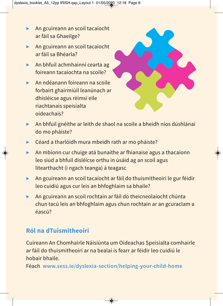- ▶ An gcuireann an scoil tacaíocht ar fáil sa Ghaeilge?
- ▶ An gcuireann an scoil tacaíocht ar fáil sa Bhéarla?
- ▶ An bhfuil achmhainní cearta ag foireann tacaíochta na scoile?
- $\triangleright$  An ndéanann foireann na scoile forbairt ghairmiúil leanúnach ar dhisléicse agus réimsí eile riachtanais speisialta oideachais?



- ▶ An bhfuil gnéithe ar leith de shaol na scoile a bheidh níos dúshlánaí do mo pháiste?
- Céard a tharlóidh mura mbeidh rath ar mo pháiste?
- An mbíonn cur chuige atá bunaithe ar fhianaise agus a thacaíonn leo siúd a bhfuil disléicse orthu in úsáid ag an scoil agus litearthacht (i ngach teanga) á teagasc
- An gcuireann an scoil tacaíocht ar fáil do thuismitheoirí le gur féidir leo cuidiú agus cur leis an bhfoghlaim sa bhaile?
- An gcuireann an scoil rochtain ar fáil do theicneolaíocht chúnta chun tacú leis an bhfoghlaim agus chun rochtain ar an gcuraclam a éascú?

# **Ról na dTuismitheoirí**

Cuireann An Chomhairle Náisiúnta um Oideachas Speisialta comhairle ar fáil do thuismitheoirí ar na bealaí is fearr ar féidir leo cuidiú le hobair bhaile.

Féach **www.sess.ie/dyslexia-section/helping-your-child-home**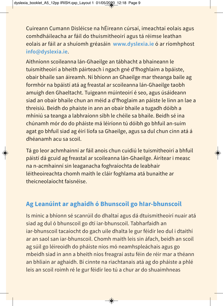Cuireann Cumann Disléicse na hÉireann cúrsaí, imeachtaí eolais agus comhdháileacha ar fáil do thuismitheoirí agus tá réimse leathan eolais ar fáil ar a shuíomh gréasáin **www.dyslexia.ie** ó ar ríomhphost **info@dyslexia.ie**.

Aithníonn scoileanna lán-Ghaeilge an tábhacht a bhaineann le tuismitheoirí a bheith páirteach i ngach gné d'fhoghlaim a bpáiste, obair bhaile san áireamh. Ní bhíonn an Ghaeilge mar theanga baile ag formhór na bpáistí atá ag freastal ar scoileanna lán-Ghaeilge taobh amuigh den Ghaeltacht. Tuigeann múinteoirí é seo, agus úsáideann siad an obair bhaile chun an méid a d'fhoglaim an páiste le linn an lae a threisiú. Beidh do phaiste in ann an obair bhaile a tugadh dóibh a mhíniú sa teanga a labhraíonn sibh le chéile sa bhaile. Beidh sé ina chúnamh mór do do pháiste má léiríonn tú dóibh go bhfuil an-suim agat go bhfuil siad ag éirí líofa sa Ghaeilge, agus sa dul chun cinn atá á dhéanamh acu sa scoil.

Tá go leor achmhainní ar fáil anois chun cuidiú le tuismitheoirí a bhfuil páistí dá gcuid ag freastal ar scoileanna lán-Ghaeilge. Áirítear i measc na n-acmhainní sin leaganacha foghraíochta de leabhair léitheoireachta chomh maith le cláir foghlama atá bunaithe ar theicneolaíocht faisnéise.

# **Ag Leanúint ar aghaidh ó Bhunscoil go hIar-bhunscoil**

Is minic a bhíonn sé scanrúil do dhaltaí agus dá dtuismitheoirí nuair atá siad ag dul ó bhunscoil go dtí iar-bhunscoil. Tabharfaidh an iar-bhunscoil tacaíocht do gach uile dhalta le gur féidir leo dul i dtaithí ar an saol san iar-bhunscoil. Chomh maith leis sin áfach, beidh an scoil ag súil go léireoidh do pháiste níos mó neamhspleáchais agus go mbeidh siad in ann a bheith níos freagraí astu féin de réir mar a théann an bhliain ar aghaidh. Bí cinnte na riachtanais atá ag do pháiste a phlé leis an scoil roimh ré le gur féidir leo tú a chur ar do shuaimhneas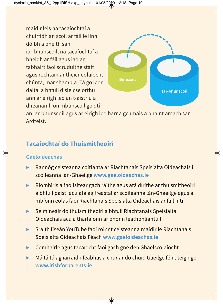dyslexia\_booklet\_A5\_12pp IRISH.qxp\_Layout 1 01/05/2020\_12:18 Page 10

maidir leis na tacaíochtaí a chuirfidh an scoil ar fáil le linn dóibh a bheith san iar-bhunscoil, na tacaíochtaí a bheidh ar fáil agus iad ag tabhairt faoi scrúduithe stáit agus rochtain ar theicneolaíocht chúnta, mar shampla. Tá go leor daltaí a bhfuil disléicse orthu ann ar éirigh leo an t-aistriú a dhéanamh ón mbunscoil go dtí



an iar-bhunscoil agus ar éirigh leo barr a gcumais a bhaint amach san Ardteist.

# **Tacaíochtaí do Thuismitheoirí**

#### **Gaeloideachas**

- Rannóg ceisteanna coitianta ar Riachtanais Speisialta Oideachais i scoileanna lán-Ghaeilge **www.gaeloideachas.ie**
- ▶ Ríomhiris a fhoilsítear gach ráithe agus atá dírithe ar thuismitheoirí a bhfuil páistí acu atá ag freastal ar scoileanna lán-Ghaeilge agus a mbíonn eolas faoi Riachtanais Speisialta Oideachais ar fáil inti
- ▶ Seimineáir do thuismitheoirí a bhfuil Riachtanais Speisialta Oideachais acu a tharlaíonn ar bhonn leathbhliantúil
- Sraith físeán YouTube faoi roinnt ceisteanna maidir le Riachtanais Speisialta Oideachais Féach **www.gaeloideachas.ie**
- ▶ Comhairle agus tacaíocht faoi gach gné den Ghaelscolaíocht
- Má tá tú ag iarraidh feabhas a chur ar do chuid Gaeilge féin, téigh go **www.irishforparents.ie**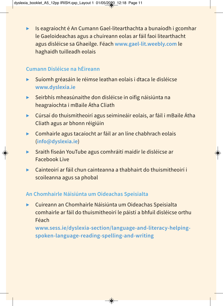Is eagraíocht é An Cumann Gael-litearthachta a bunaíodh i gcomhar le Gaeloideachas agus a chuireann eolas ar fáil faoi litearthacht agus disléicse sa Ghaeilge. Féach **www.gael-lit.weebly.com** le haghaidh tuilleadh eolais

#### **Cumann Disléicse na hÉireann**

- Suíomh gréasáin le réimse leathan eolais i dtaca le disléicse **www.dyslexia.ie**
- ▶ Seirbhís mheasúnaithe don disléicse in oifig náisiúnta na heagraíochta i mBaile Átha Cliath
- ▶ Cúrsaí do thuismitheoirí agus seimineáir eolais, ar fáil i mBaile Átha Cliath agus ar bhonn réigiúin
- ▶ Comhairle agus tacaíocht ar fáil ar an líne chabhrach eolais (**info@dyslexia.ie**)
- Sraith físeán YouTube agus comhráití maidir le disléicse ar Facebook Live
- Cainteoirí ar fáil chun cainteanna a thabhairt do thuismitheoirí i scoileanna agus sa phobal

#### **An Chomhairle Náisiúnta um Oideachas Speisialta**

▶ Cuireann an Chomhairle Náisiúnta um Oideachas Speisialta comhairle ar fáil do thuismitheoirí le páistí a bhfuil disléicse orthu Féach

**www.sess.ie/dyslexia-section/language-and-literacy-helping spoken-language-reading-spelling-and-writing**